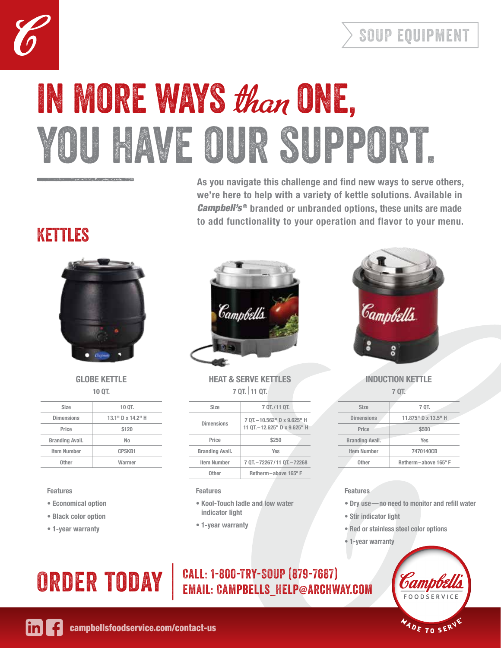



# you have our support. IN MORE WAYS than ONE,

**As you navigate this challenge and find new ways to serve others, we're here to help with a variety of kettle solutions. Available in**  *Campbell's***<sup>®</sup> branded or unbranded options, these units are made to add functionality to your operation and flavor to your menu.**

### Kettles



### **GLOBE KETTLE 10 QT.**

| <b>Size</b>            | 10 QT.            |
|------------------------|-------------------|
| <b>Dimensions</b>      | 13.1" D x 14.2" H |
| Price                  | \$120             |
| <b>Branding Avail.</b> | No                |
| <b>Item Number</b>     | <b>CPSKB1</b>     |
| Other                  | Warmer            |

### **Features**

- **Economical option**
- **Black color option**
- **1-year warranty**



### **HEAT & SERVE KETTLES 7 QT. | 11 QT.**

| <b>Size</b>            | 7 OT./11 OT.                                                 |
|------------------------|--------------------------------------------------------------|
| Dimensions             | 7 OT. -10.562" D x 9.625" H<br>11 OT. - 12.625" D x 9.625" H |
| Price                  | \$250                                                        |
| <b>Branding Avail.</b> | <b>Yes</b>                                                   |
| Item Number            | 7 0T - 72267/11 0T - 72268                                   |
| <b>Other</b>           | Retherm-above 165° F                                         |

### **Features**

- **• Kool-Touch ladle and low water indicator light**
- **1-year warranty**



### **INDUCTION KETTLE 7 QT.**

| <b>Size</b>            | 7 QT.               |
|------------------------|---------------------|
| <b>Dimensions</b>      | 11.875" D x 13.5" H |
| Price                  | \$500               |
| <b>Branding Avail.</b> | Yes                 |
| <b>Item Number</b>     | 7470140CB           |
| Other                  | Retherm-above 165°F |

### **Features**

- **• Dry use—no need to monitor and refill water**
- **Stir indicator light**
- **• Red or stainless steel color options**
- **1-year warranty**

# **ADE TO SERV**

# ORDER TODAY | CALL: 1-800-TRY-SOUP (879-7687)<br>Email: Campbells\_Help@archway.com



[campbellsfoodservice.com/contact-us](http://campbellsfoodservice.com/contact-us)